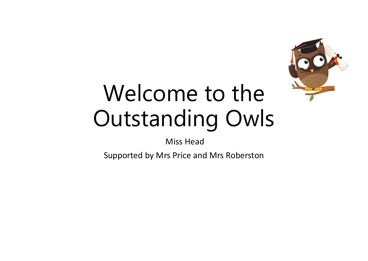

# Welcome to the Outstanding Owls

Miss Head

Supported by Mrs Price and Mrs Roberston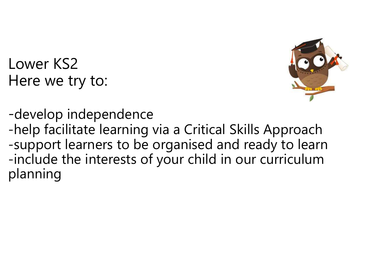Lower KS2 Here we try to:



-develop independence -help facilitate learning via a Critical Skills Approach -support learners to be organised and ready to learn -include the interests of your child in our curriculum planning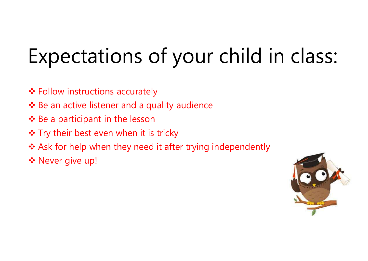### Expectations of your child in class:

- **≎** Follow instructions accurately
- $\triangle$  Be an active listener and a quality audience
- $\cdot$  Be a participant in the lesson
- ❖ Try their best even when it is tricky
- $\triangle$  Ask for help when they need it after trying independently
- \* Never give up!

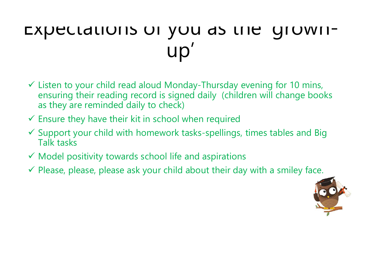#### EXPECIALIONS OF YOU AS LITE GIOWIIup'

- $\checkmark$  Listen to your child read aloud Monday-Thursday evening for 10 mins, ensuring their reading record is signed daily (children will change books as they are reminded daily to check)
- $\checkmark$  Ensure they have their kit in school when required
- $\checkmark$  Support your child with homework tasks-spellings, times tables and Big Talk tasks
- $\checkmark$  Model positivity towards school life and aspirations
- $\checkmark$  Please, please, please ask your child about their day with a smiley face.

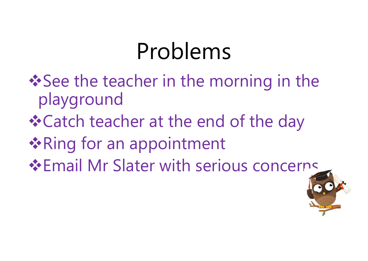# Problems

- **See the teacher in the morning in the** playground
- **\* Catch teacher at the end of the day**
- **❖ Ring for an appointment**
- **Email Mr Slater with serious concerns**